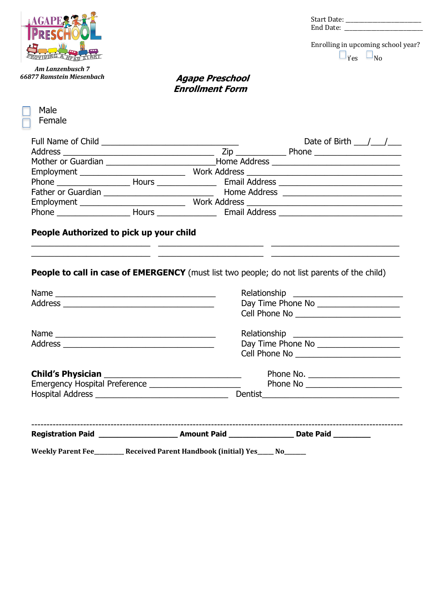

*Am Lanzenbusch 7 66877 Ramstein Miesenbach* Start Date: \_\_\_\_\_\_\_\_\_\_\_\_\_\_\_\_\_\_\_\_\_\_\_\_\_\_\_\_ End Date: \_\_\_\_\_\_\_\_\_\_\_\_\_\_\_\_\_\_\_\_\_\_\_\_\_\_\_\_\_

Enrolling in upcoming school year?  $\Box_{\text{Yes}}$   $\Box_{\text{No}}$ 

## **Agape Preschool Enrollment Form**

| Male                     |
|--------------------------|
| Female                   |
|                          |
| <b>Full Name of Chil</b> |
| Address                  |
| Mother or Guardi         |
| Employment               |
|                          |

|                                         |  | Date of Birth $\frac{1}{\sqrt{2}}$  |
|-----------------------------------------|--|-------------------------------------|
|                                         |  | Phone _______________________       |
|                                         |  |                                     |
| Employment ____________________________ |  |                                     |
|                                         |  |                                     |
| Father or Guardian                      |  |                                     |
|                                         |  |                                     |
| Phone $\frac{1}{2}$                     |  | Email Address _____________________ |

## **People Authorized to pick up your child**

**People to call in case of EMERGENCY** (must list two people; do not list parents of the child)

\_\_\_\_\_\_\_\_\_\_\_\_\_\_\_\_\_\_\_\_\_\_\_\_\_\_ \_\_\_\_\_\_\_\_\_\_\_\_\_\_\_\_\_\_\_\_\_\_\_ \_\_\_\_\_\_\_\_\_\_\_\_\_\_\_\_\_\_\_\_\_\_\_\_\_\_\_\_  $\mathcal{L}_\text{max}$  , and the set of the set of the set of the set of the set of the set of the set of the set of the set of the set of the set of the set of the set of the set of the set of the set of the set of the set of the

|                                                        | Day Time Phone No ____________________ |
|--------------------------------------------------------|----------------------------------------|
|                                                        |                                        |
|                                                        |                                        |
|                                                        | Day Time Phone No ____________________ |
|                                                        |                                        |
|                                                        |                                        |
| Emergency Hospital Preference ________________________ | Phone No ________________________      |
|                                                        |                                        |
|                                                        |                                        |
|                                                        |                                        |

Weekly Parent Fee\_\_\_\_\_\_\_\_Received Parent Handbook (initial) Yes\_\_\_\_\_ No\_\_\_\_\_\_\_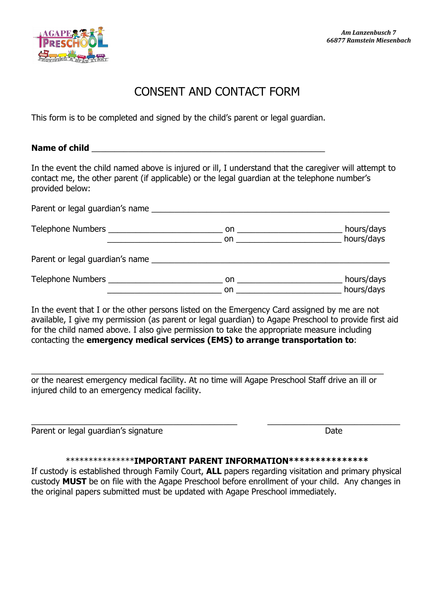

# CONSENT AND CONTACT FORM

This form is to be completed and signed by the child's parent or legal guardian.

### Name of child

In the event the child named above is injured or ill, I understand that the caregiver will attempt to contact me, the other parent (if applicable) or the legal guardian at the telephone number's provided below:

| Parent or legal guardian's name |                                                                                                                                                                                                                                |            |
|---------------------------------|--------------------------------------------------------------------------------------------------------------------------------------------------------------------------------------------------------------------------------|------------|
|                                 |                                                                                                                                                                                                                                | hours/days |
|                                 | on and the contract of the contract of the contract of the contract of the contract of the contract of the contract of the contract of the contract of the contract of the contract of the contract of the contract of the con | hours/days |
| Parent or legal guardian's name |                                                                                                                                                                                                                                |            |
|                                 | on a state of the state of the state of the state of the state of the state of the state of the state of the s                                                                                                                 | hours/days |
|                                 | on.                                                                                                                                                                                                                            | hours/days |

In the event that I or the other persons listed on the Emergency Card assigned by me are not available, I give my permission (as parent or legal guardian) to Agape Preschool to provide first aid for the child named above. I also give permission to take the appropriate measure including contacting the **emergency medical services (EMS) to arrange transportation to**:

or the nearest emergency medical facility. At no time will Agape Preschool Staff drive an ill or injured child to an emergency medical facility.

\_\_\_\_\_\_\_\_\_\_\_\_\_\_\_\_\_\_\_\_\_\_\_\_\_\_\_\_\_\_\_\_\_\_\_\_\_\_\_\_\_\_\_\_\_\_\_\_\_\_\_\_\_\_\_\_\_\_\_\_\_\_\_\_\_\_\_\_\_\_\_\_\_\_\_\_\_

Parent or legal guardian's signature Date Date Date

#### \*\*\*\*\*\*\*\*\*\*\*\*\*\*\***IMPORTANT PARENT INFORMATION\*\*\*\*\*\*\*\*\*\*\*\*\*\*\***

\_\_\_\_\_\_\_\_\_\_\_\_\_\_\_\_\_\_\_\_\_\_\_\_\_\_\_\_\_\_\_\_\_\_\_\_\_\_\_\_\_\_\_\_\_ \_\_\_\_\_\_\_\_\_\_\_\_\_\_\_\_\_\_\_\_\_\_\_\_\_\_\_\_\_

If custody is established through Family Court, **ALL** papers regarding visitation and primary physical custody **MUST** be on file with the Agape Preschool before enrollment of your child. Any changes in the original papers submitted must be updated with Agape Preschool immediately.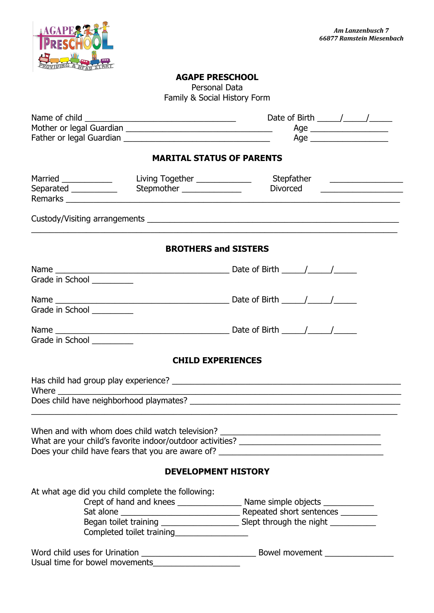

### **AGAPE PRESCHOOL**

Personal Data Family & Social History Form

|                                                |                                                   | <b>MARITAL STATUS OF PARENTS</b>                                                       |
|------------------------------------------------|---------------------------------------------------|----------------------------------------------------------------------------------------|
| Married ____________<br>Separated ____________ | Stepmother __________________                     | Divorced                                                                               |
|                                                |                                                   | <u> 1986 - Jan Barbarat, manala</u>                                                    |
|                                                |                                                   |                                                                                        |
|                                                |                                                   | <b>BROTHERS and SISTERS</b>                                                            |
|                                                |                                                   |                                                                                        |
| Grade in School _________                      |                                                   |                                                                                        |
|                                                |                                                   |                                                                                        |
| Grade in School                                |                                                   |                                                                                        |
|                                                |                                                   |                                                                                        |
| Grade in School __________                     |                                                   |                                                                                        |
|                                                |                                                   | <b>CHILD EXPERIENCES</b>                                                               |
|                                                |                                                   |                                                                                        |
|                                                |                                                   |                                                                                        |
|                                                |                                                   |                                                                                        |
|                                                | When and with whom does child watch television?   | What are your child's favorite indoor/outdoor activities?                              |
|                                                |                                                   | Does your child have fears that you are aware of? _______________________________      |
|                                                |                                                   | <b>DEVELOPMENT HISTORY</b>                                                             |
|                                                | At what age did you child complete the following: |                                                                                        |
|                                                |                                                   |                                                                                        |
|                                                |                                                   |                                                                                        |
|                                                |                                                   | Began toilet training __________________________ Slept through the night _____________ |
|                                                |                                                   |                                                                                        |
|                                                |                                                   |                                                                                        |
|                                                | Usual time for bowel movements                    |                                                                                        |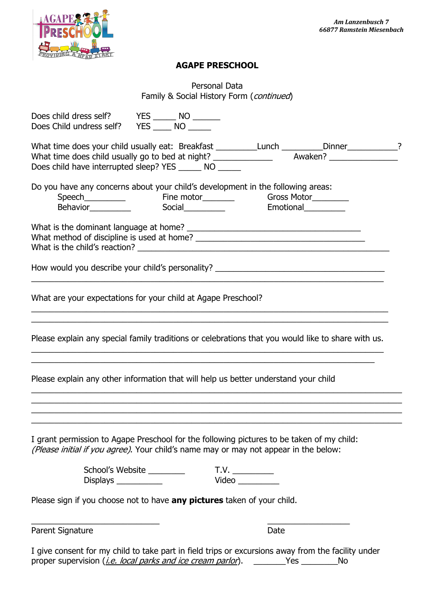

## **AGAPE PRESCHOOL**

| Personal Data                            |
|------------------------------------------|
| Family & Social History Form (continued) |

| Does child dress self? YES _______ NO _______<br>Does Child undress self? YES _______ NO                                                                                                        |                            |               |    |  |
|-------------------------------------------------------------------------------------------------------------------------------------------------------------------------------------------------|----------------------------|---------------|----|--|
| What time does your child usually eat: Breakfast _____________________________Dinner_____________?<br>Does child have interrupted sleep? YES _______ NO ______                                  |                            |               |    |  |
| Do you have any concerns about your child's development in the following areas:                                                                                                                 |                            |               |    |  |
|                                                                                                                                                                                                 |                            |               |    |  |
| How would you describe your child's personality? ________________________________                                                                                                               |                            |               |    |  |
| What are your expectations for your child at Agape Preschool?                                                                                                                                   |                            |               |    |  |
| Please explain any special family traditions or celebrations that you would like to share with us.                                                                                              |                            |               |    |  |
| Please explain any other information that will help us better understand your child                                                                                                             |                            |               |    |  |
| I grant permission to Agape Preschool for the following pictures to be taken of my child:<br>(Please initial if you agree). Your child's name may or may not appear in the below:               |                            |               |    |  |
| Displays                                                                                                                                                                                        | School's Website _________ | T.V.<br>Video |    |  |
| Please sign if you choose not to have any pictures taken of your child.                                                                                                                         |                            |               |    |  |
| Parent Signature                                                                                                                                                                                |                            | Date          |    |  |
| I give consent for my child to take part in field trips or excursions away from the facility under<br>proper supervision ( <i>i.e. local parks and ice cream parlor</i> ). ________Yes ________ |                            |               | No |  |